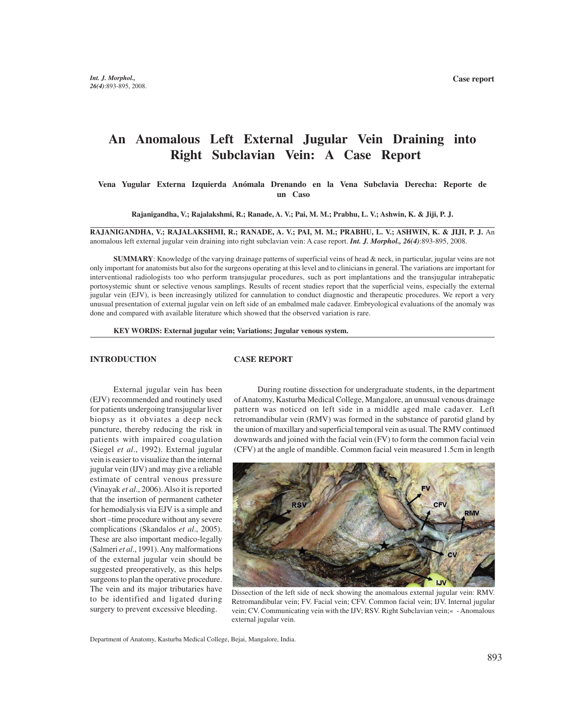# **An Anomalous Left External Jugular Vein Draining into Right Subclavian Vein: A Case Report**

 **Vena Yugular Externa Izquierda Anómala Drenando en la Vena Subclavia Derecha: Reporte de un Caso**

**Rajanigandha, V.; Rajalakshmi, R.; Ranade, A. V.; Pai, M. M.; Prabhu, L. V.; Ashwin, K. & Jiji, P. J.**

**RAJANIGANDHA, V.; RAJALAKSHMI, R.; RANADE, A. V.; PAI, M. M.; PRABHU, L. V.; ASHWIN, K. & JIJI, P. J.** An anomalous left external jugular vein draining into right subclavian vein: A case report. *Int. J. Morphol., 26(4)*:893-895, 2008.

**SUMMARY**: Knowledge of the varying drainage patterns of superficial veins of head & neck, in particular, jugular veins are not only important for anatomists but also for the surgeons operating at this level and to clinicians in general. The variations are important for interventional radiologists too who perform transjugular procedures, such as port implantations and the transjugular intrahepatic portosystemic shunt or selective venous samplings. Results of recent studies report that the superficial veins, especially the external jugular vein (EJV), is been increasingly utilized for cannulation to conduct diagnostic and therapeutic procedures. We report a very unusual presentation of external jugular vein on left side of an embalmed male cadaver. Embryological evaluations of the anomaly was done and compared with available literature which showed that the observed variation is rare.

**KEY WORDS: External jugular vein; Variations; Jugular venous system.**

### **INTRODUCTION**

#### **CASE REPORT**

External jugular vein has been (EJV) recommended and routinely used for patients undergoing transjugular liver biopsy as it obviates a deep neck puncture, thereby reducing the risk in patients with impaired coagulation (Siegel *et al*., 1992). External jugular vein is easier to visualize than the internal jugular vein (IJV) and may give a reliable estimate of central venous pressure (Vinayak *et al*., 2006). Also it is reported that the insertion of permanent catheter for hemodialysis via EJV is a simple and short –time procedure without any severe complications (Skandalos *et al*., 2005). These are also important medico-legally (Salmeri *et al*., 1991). Any malformations of the external jugular vein should be suggested preoperatively, as this helps surgeons to plan the operative procedure. The vein and its major tributaries have to be identified and ligated during surgery to prevent excessive bleeding.

During routine dissection for undergraduate students, in the department of Anatomy, Kasturba Medical College, Mangalore, an unusual venous drainage pattern was noticed on left side in a middle aged male cadaver. Left retromandibular vein (RMV) was formed in the substance of parotid gland by the union of maxillary and superficial temporal vein as usual. The RMV continued downwards and joined with the facial vein (FV) to form the common facial vein (CFV) at the angle of mandible. Common facial vein measured 1.5cm in length



Dissection of the left side of neck showing the anomalous external jugular vein: RMV. Retromandibular vein; FV. Facial vein; CFV. Common facial vein; IJV. Internal jugular vein; CV. Communicating vein with the IJV; RSV. Right Subclavian vein;« - Anomalous external jugular vein.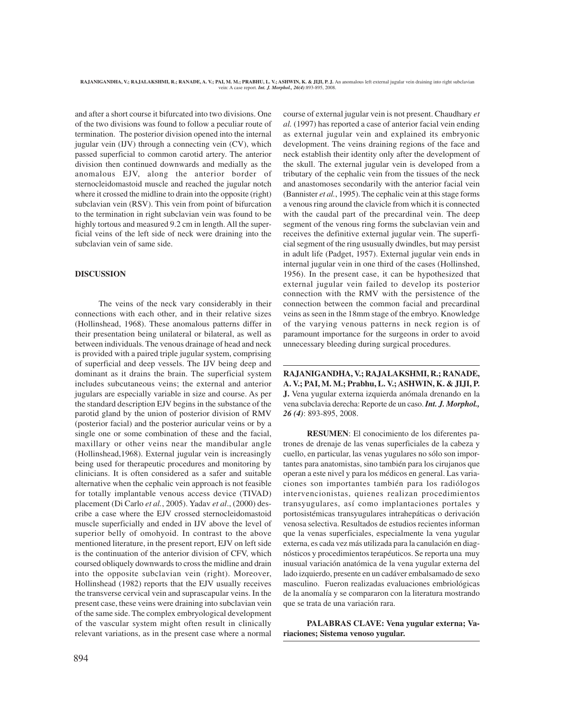and after a short course it bifurcated into two divisions. One of the two divisions was found to follow a peculiar route of termination. The posterior division opened into the internal jugular vein (IJV) through a connecting vein (CV), which passed superficial to common carotid artery. The anterior division then continued downwards and medially as the anomalous EJV, along the anterior border of sternocleidomastoid muscle and reached the jugular notch where it crossed the midline to drain into the opposite (right) subclavian vein (RSV). This vein from point of bifurcation to the termination in right subclavian vein was found to be highly tortous and measured 9.2 cm in length. All the superficial veins of the left side of neck were draining into the subclavian vein of same side.

## **DISCUSSION**

The veins of the neck vary considerably in their connections with each other, and in their relative sizes (Hollinshead, 1968). These anomalous patterns differ in their presentation being unilateral or bilateral, as well as between individuals. The venous drainage of head and neck is provided with a paired triple jugular system, comprising of superficial and deep vessels. The IJV being deep and dominant as it drains the brain. The superficial system includes subcutaneous veins; the external and anterior jugulars are especially variable in size and course. As per the standard description EJV begins in the substance of the parotid gland by the union of posterior division of RMV (posterior facial) and the posterior auricular veins or by a single one or some combination of these and the facial, maxillary or other veins near the mandibular angle (Hollinshead,1968). External jugular vein is increasingly being used for therapeutic procedures and monitoring by clinicians. It is often considered as a safer and suitable alternative when the cephalic vein approach is not feasible for totally implantable venous access device (TIVAD) placement (Di Carlo *et al.*, 2005). Yadav *et al*., (2000) describe a case where the EJV crossed sternocleidomastoid muscle superficially and ended in IJV above the level of superior belly of omohyoid. In contrast to the above mentioned literature, in the present report, EJV on left side is the continuation of the anterior division of CFV, which coursed obliquely downwards to cross the midline and drain into the opposite subclavian vein (right). Moreover, Hollinshead (1982) reports that the EJV usually receives the transverse cervical vein and suprascapular veins. In the present case, these veins were draining into subclavian vein of the same side. The complex embryological development of the vascular system might often result in clinically relevant variations, as in the present case where a normal *al.* (1997) has reported a case of anterior facial vein ending as external jugular vein and explained its embryonic development. The veins draining regions of the face and neck establish their identity only after the development of the skull. The external jugular vein is developed from a tributary of the cephalic vein from the tissues of the neck and anastomoses secondarily with the anterior facial vein (Bannister *et al.*, 1995). The cephalic vein at this stage forms a venous ring around the clavicle from which it is connected with the caudal part of the precardinal vein. The deep segment of the venous ring forms the subclavian vein and receives the definitive external jugular vein. The superficial segment of the ring ususually dwindles, but may persist in adult life (Padget, 1957). External jugular vein ends in internal jugular vein in one third of the cases (Hollinshed, 1956). In the present case, it can be hypothesized that external jugular vein failed to develop its posterior connection with the RMV with the persistence of the connection between the common facial and precardinal veins as seen in the 18mm stage of the embryo. Knowledge of the varying venous patterns in neck region is of paramount importance for the surgeons in order to avoid unnecessary bleeding during surgical procedures.

course of external jugular vein is not present. Chaudhary *et*

**RAJANIGANDHA, V.; RAJALAKSHMI, R.; RANADE, A. V.; PAI, M. M.; Prabhu, L. V.; ASHWIN, K. & JIJI, P. J.** Vena yugular externa izquierda anómala drenando en la vena subclavia derecha: Reporte de un caso. *Int. J. Morphol., 26 (4)*: 893-895, 2008.

**RESUMEN**: El conocimiento de los diferentes patrones de drenaje de las venas superficiales de la cabeza y cuello, en particular, las venas yugulares no sólo son importantes para anatomistas, sino también para los cirujanos que operan a este nivel y para los médicos en general. Las variaciones son importantes también para los radiólogos intervencionistas, quienes realizan procedimientos transyugulares, así como implantaciones portales y portosistémicas transyugulares intrahepáticas o derivación venosa selectiva. Resultados de estudios recientes informan que la venas superficiales, especialmente la vena yugular externa, es cada vez más utilizada para la canulación en diagnósticos y procedimientos terapéuticos. Se reporta una muy inusual variación anatómica de la vena yugular externa del lado izquierdo, presente en un cadáver embalsamado de sexo masculino. Fueron realizadas evaluaciones embriológicas de la anomalía y se compararon con la literatura mostrando que se trata de una variación rara.

**PALABRAS CLAVE: Vena yugular externa; Variaciones; Sistema venoso yugular.**